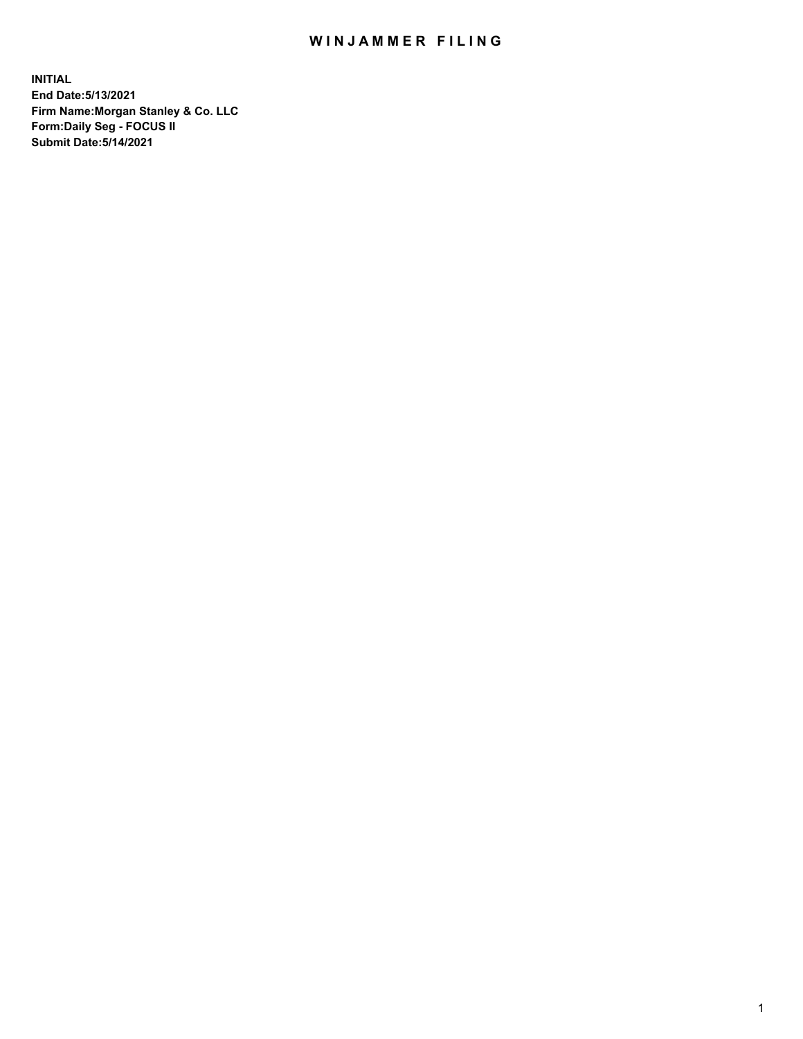## WIN JAMMER FILING

**INITIAL End Date:5/13/2021 Firm Name:Morgan Stanley & Co. LLC Form:Daily Seg - FOCUS II Submit Date:5/14/2021**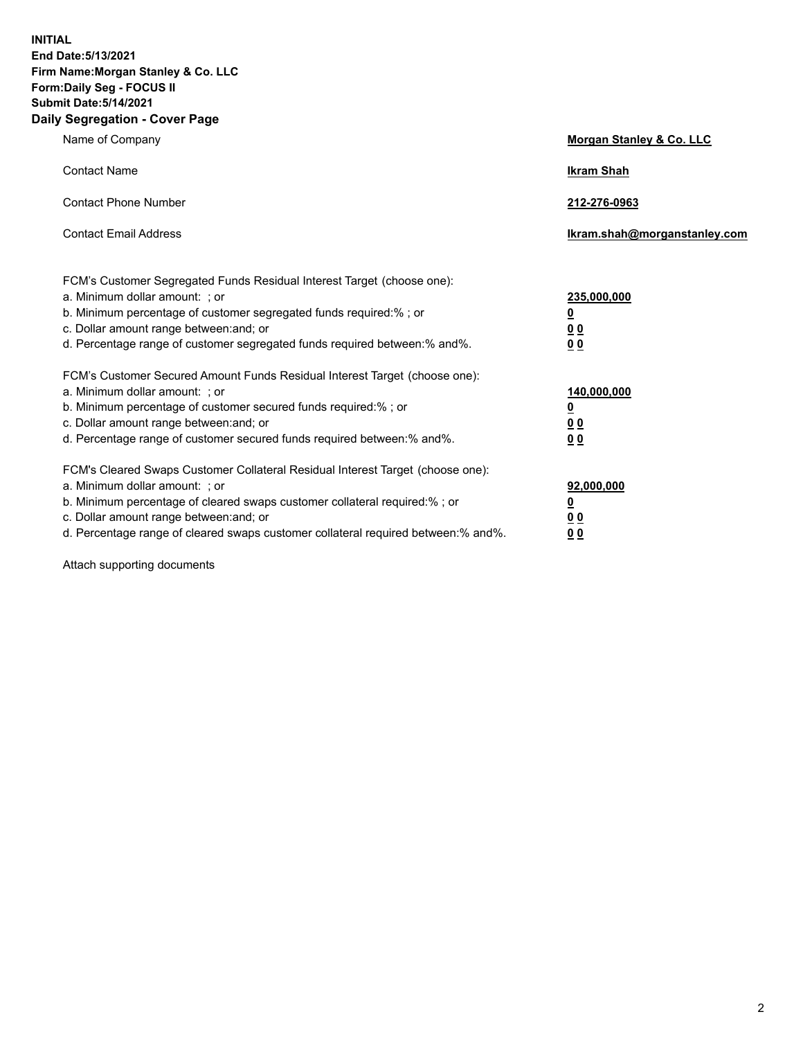**INITIAL End Date:5/13/2021 Firm Name:Morgan Stanley & Co. LLC Form:Daily Seg - FOCUS II Submit Date:5/14/2021 Daily Segregation - Cover Page**

| Name of Company                                                                                                                                                                                                                                                                                                                | <b>Morgan Stanley &amp; Co. LLC</b>                     |
|--------------------------------------------------------------------------------------------------------------------------------------------------------------------------------------------------------------------------------------------------------------------------------------------------------------------------------|---------------------------------------------------------|
| <b>Contact Name</b>                                                                                                                                                                                                                                                                                                            | <b>Ikram Shah</b>                                       |
| <b>Contact Phone Number</b>                                                                                                                                                                                                                                                                                                    | 212-276-0963                                            |
| <b>Contact Email Address</b>                                                                                                                                                                                                                                                                                                   | Ikram.shah@morganstanley.com                            |
| FCM's Customer Segregated Funds Residual Interest Target (choose one):<br>a. Minimum dollar amount: ; or<br>b. Minimum percentage of customer segregated funds required:% ; or<br>c. Dollar amount range between: and; or                                                                                                      | 235,000,000<br><u>0</u><br><u>00</u>                    |
| d. Percentage range of customer segregated funds required between:% and%.<br>FCM's Customer Secured Amount Funds Residual Interest Target (choose one):                                                                                                                                                                        | 0 <sup>0</sup>                                          |
| a. Minimum dollar amount: ; or<br>b. Minimum percentage of customer secured funds required:%; or<br>c. Dollar amount range between: and; or<br>d. Percentage range of customer secured funds required between: % and %.                                                                                                        | 140,000,000<br><u>0</u><br><u>0 0</u><br>0 <sub>0</sub> |
| FCM's Cleared Swaps Customer Collateral Residual Interest Target (choose one):<br>a. Minimum dollar amount: ; or<br>b. Minimum percentage of cleared swaps customer collateral required:% ; or<br>c. Dollar amount range between: and; or<br>d. Percentage range of cleared swaps customer collateral required between:% and%. | 92,000,000<br><u>0</u><br>0 Q<br>0 <sub>0</sub>         |

Attach supporting documents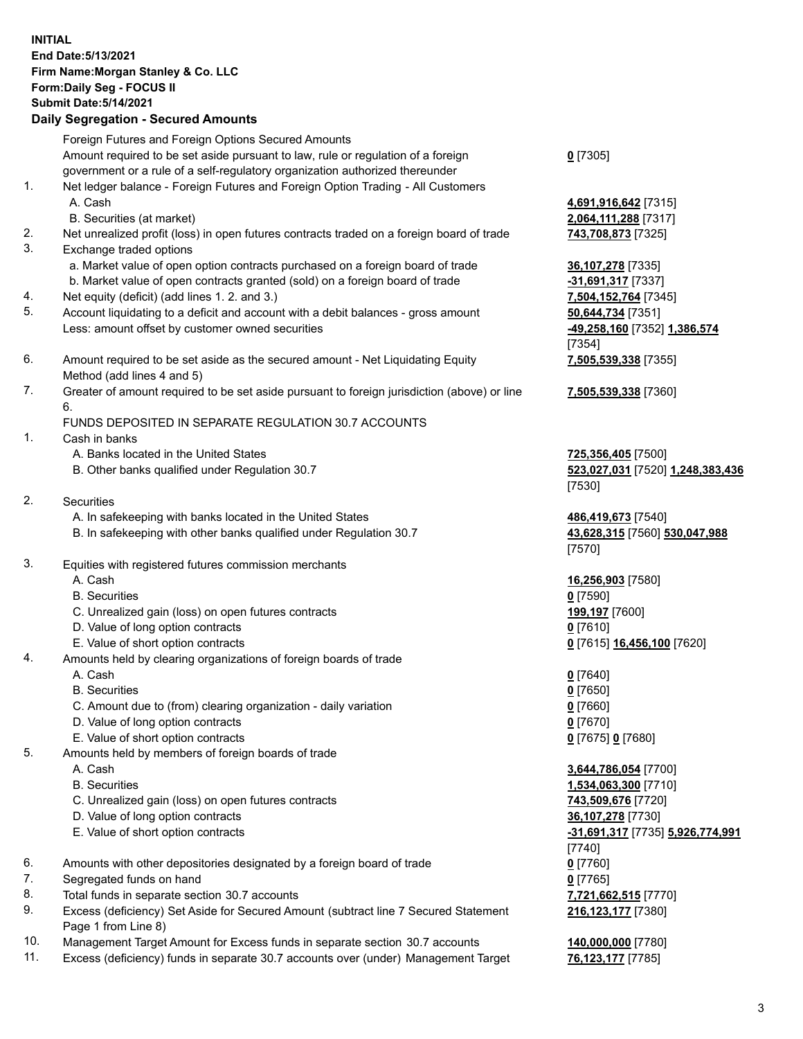## **INITIAL End Date:5/13/2021 Firm Name:Morgan Stanley & Co. LLC Form:Daily Seg - FOCUS II Submit Date:5/14/2021**

## **Daily Segregation - Secured Amounts**

Foreign Futures and Foreign Options Secured Amounts Amount required to be set aside pursuant to law, rule or regulation of a foreign government or a rule of a self-regulatory organization authorized thereunder 1. Net ledger balance - Foreign Futures and Foreign Option Trading - All Customers A. Cash **4,691,916,642** [7315] B. Securities (at market) **2,064,111,288** [7317] 2. Net unrealized profit (loss) in open futures contracts traded on a foreign board of trade **743,708,873** [7325] 3. Exchange traded options a. Market value of open option contracts purchased on a foreign board of trade **36,107,278** [7335] b. Market value of open contracts granted (sold) on a foreign board of trade **-31,691,317** [7337] 4. Net equity (deficit) (add lines 1. 2. and 3.) **7,504,152,764** [7345] 5. Account liquidating to a deficit and account with a debit balances - gross amount **50,644,734** [7351] Less: amount offset by customer owned securities **-49,258,160** [7352] **1,386,574** 6. Amount required to be set aside as the secured amount - Net Liquidating Equity Method (add lines 4 and 5)

7. Greater of amount required to be set aside pursuant to foreign jurisdiction (above) or line 6.

## FUNDS DEPOSITED IN SEPARATE REGULATION 30.7 ACCOUNTS

- 1. Cash in banks
	- A. Banks located in the United States **725,356,405** [7500]
	- B. Other banks qualified under Regulation 30.7 **523,027,031** [7520] **1,248,383,436**
- 2. Securities
	- A. In safekeeping with banks located in the United States **486,419,673** [7540]
	- B. In safekeeping with other banks qualified under Regulation 30.7 **43,628,315** [7560] **530,047,988**
- 3. Equities with registered futures commission merchants
	-
	- B. Securities **0** [7590]
	- C. Unrealized gain (loss) on open futures contracts **199,197** [7600]
	- D. Value of long option contracts **0** [7610]
	- E. Value of short option contracts **0** [7615] **16,456,100** [7620]
- 4. Amounts held by clearing organizations of foreign boards of trade
	- A. Cash **0** [7640]
	- B. Securities **0** [7650]
	- C. Amount due to (from) clearing organization daily variation **0** [7660]
	- D. Value of long option contracts **0** [7670]
	- E. Value of short option contracts **0** [7675] **0** [7680]
- 5. Amounts held by members of foreign boards of trade
	-
	-
	- C. Unrealized gain (loss) on open futures contracts **743,509,676** [7720]
	- D. Value of long option contracts **36,107,278** [7730]
	- E. Value of short option contracts **-31,691,317** [7735] **5,926,774,991**
- 6. Amounts with other depositories designated by a foreign board of trade **0** [7760]
- 7. Segregated funds on hand **0** [7765]
- 8. Total funds in separate section 30.7 accounts **7,721,662,515** [7770]
- 9. Excess (deficiency) Set Aside for Secured Amount (subtract line 7 Secured Statement Page 1 from Line 8)
- 10. Management Target Amount for Excess funds in separate section 30.7 accounts **140,000,000** [7780]
- 11. Excess (deficiency) funds in separate 30.7 accounts over (under) Management Target **76,123,177** [7785]

**0** [7305]

[7354] **7,505,539,338** [7355]

**7,505,539,338** [7360]

[7530]

[7570]

A. Cash **16,256,903** [7580]

 A. Cash **3,644,786,054** [7700] B. Securities **1,534,063,300** [7710] [7740] **216,123,177** [7380]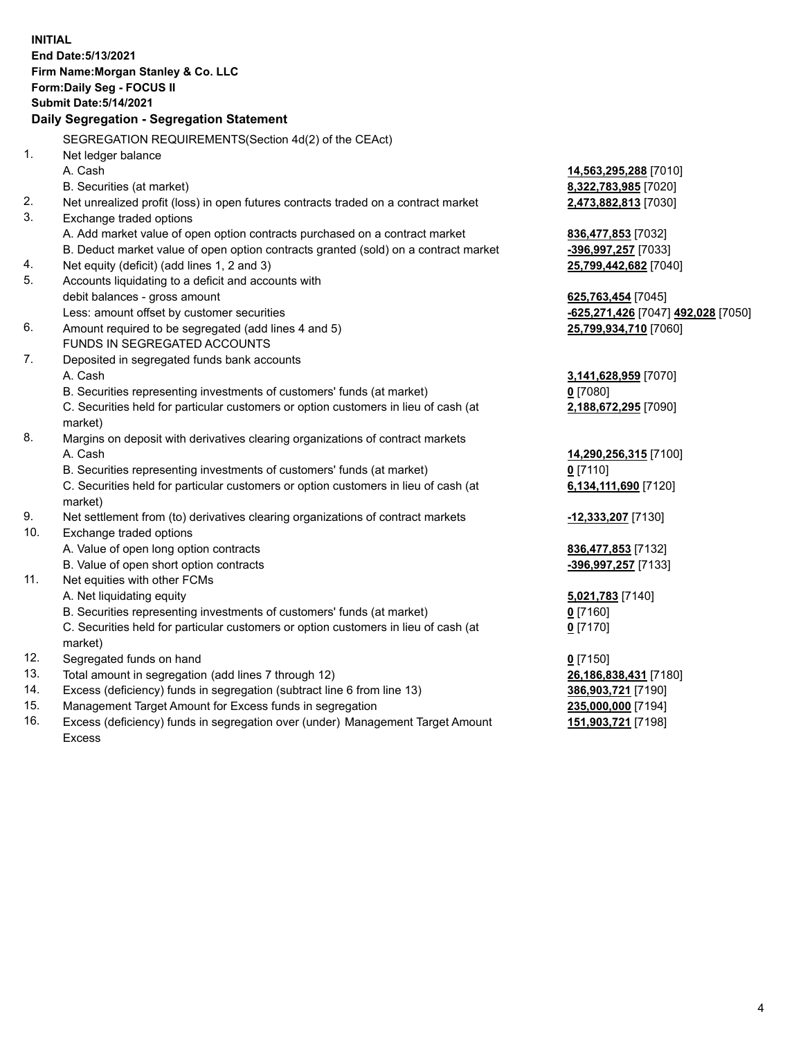**INITIAL End Date:5/13/2021 Firm Name:Morgan Stanley & Co. LLC Form:Daily Seg - FOCUS II Submit Date:5/14/2021 Daily Segregation - Segregation Statement** SEGREGATION REQUIREMENTS(Section 4d(2) of the CEAct) 1. Net ledger balance A. Cash **14,563,295,288** [7010] B. Securities (at market) **8,322,783,985** [7020] 2. Net unrealized profit (loss) in open futures contracts traded on a contract market **2,473,882,813** [7030] 3. Exchange traded options A. Add market value of open option contracts purchased on a contract market **836,477,853** [7032] B. Deduct market value of open option contracts granted (sold) on a contract market **-396,997,257** [7033] 4. Net equity (deficit) (add lines 1, 2 and 3) **25,799,442,682** [7040] 5. Accounts liquidating to a deficit and accounts with debit balances - gross amount **625,763,454** [7045] Less: amount offset by customer securities **-625,271,426** [7047] **492,028** [7050] 6. Amount required to be segregated (add lines 4 and 5) **25,799,934,710** [7060] FUNDS IN SEGREGATED ACCOUNTS 7. Deposited in segregated funds bank accounts A. Cash **3,141,628,959** [7070] B. Securities representing investments of customers' funds (at market) **0** [7080] C. Securities held for particular customers or option customers in lieu of cash (at market) **2,188,672,295** [7090] 8. Margins on deposit with derivatives clearing organizations of contract markets A. Cash **14,290,256,315** [7100] B. Securities representing investments of customers' funds (at market) **0** [7110] C. Securities held for particular customers or option customers in lieu of cash (at market) **6,134,111,690** [7120] 9. Net settlement from (to) derivatives clearing organizations of contract markets **-12,333,207** [7130] 10. Exchange traded options A. Value of open long option contracts **836,477,853** [7132] B. Value of open short option contracts **-396,997,257** [7133] 11. Net equities with other FCMs A. Net liquidating equity **5,021,783** [7140] B. Securities representing investments of customers' funds (at market) **0** [7160] C. Securities held for particular customers or option customers in lieu of cash (at market) **0** [7170] 12. Segregated funds on hand **0** [7150] 13. Total amount in segregation (add lines 7 through 12) **26,186,838,431** [7180] 14. Excess (deficiency) funds in segregation (subtract line 6 from line 13) **386,903,721** [7190] 15. Management Target Amount for Excess funds in segregation **235,000,000** [7194] **151,903,721** [7198]

16. Excess (deficiency) funds in segregation over (under) Management Target Amount Excess